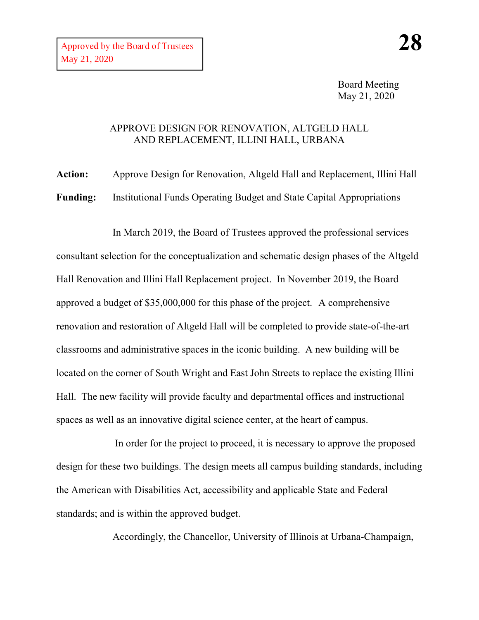Board Meeting May 21, 2020

## APPROVE DESIGN FOR RENOVATION, ALTGELD HALL AND REPLACEMENT, ILLINI HALL, URBANA

**Action:** Approve Design for Renovation, Altgeld Hall and Replacement, Illini Hall **Funding:** Institutional Funds Operating Budget and State Capital Appropriations

In March 2019, the Board of Trustees approved the professional services consultant selection for the conceptualization and schematic design phases of the Altgeld Hall Renovation and Illini Hall Replacement project. In November 2019, the Board approved a budget of \$35,000,000 for this phase of the project. A comprehensive renovation and restoration of Altgeld Hall will be completed to provide state-of-the-art classrooms and administrative spaces in the iconic building. A new building will be located on the corner of South Wright and East John Streets to replace the existing Illini Hall. The new facility will provide faculty and departmental offices and instructional spaces as well as an innovative digital science center, at the heart of campus.

In order for the project to proceed, it is necessary to approve the proposed design for these two buildings. The design meets all campus building standards, including the American with Disabilities Act, accessibility and applicable State and Federal standards; and is within the approved budget.

Accordingly, the Chancellor, University of Illinois at Urbana-Champaign,